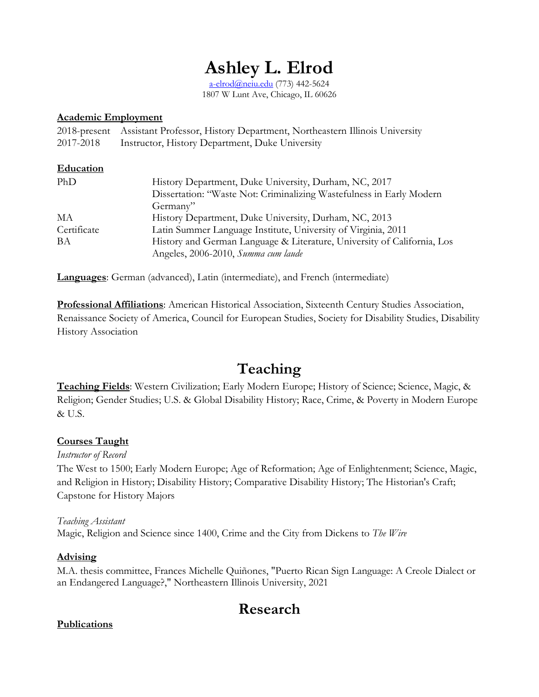# **Ashley L. Elrod**

[a-elrod@neiu.edu](mailto:a-elrod@neiu.edu) (773) 442-5624 1807 W Lunt Ave, Chicago, IL 60626

#### **Academic Employment**

|           | 2018-present Assistant Professor, History Department, Northeastern Illinois University |
|-----------|----------------------------------------------------------------------------------------|
| 2017-2018 | Instructor, History Department, Duke University                                        |

#### **Education**

| PhD         | History Department, Duke University, Durham, NC, 2017                   |
|-------------|-------------------------------------------------------------------------|
|             | Dissertation: "Waste Not: Criminalizing Wastefulness in Early Modern    |
|             | Germany"                                                                |
| МA          | History Department, Duke University, Durham, NC, 2013                   |
| Certificate | Latin Summer Language Institute, University of Virginia, 2011           |
| BA          | History and German Language & Literature, University of California, Los |
|             | Angeles, 2006-2010, Summa cum laude                                     |

**Languages**: German (advanced), Latin (intermediate), and French (intermediate)

**Professional Affiliations**: American Historical Association, Sixteenth Century Studies Association, Renaissance Society of America, Council for European Studies, Society for Disability Studies, Disability History Association

## **Teaching**

**Teaching Fields**: Western Civilization; Early Modern Europe; History of Science; Science, Magic, & Religion; Gender Studies; U.S. & Global Disability History; Race, Crime, & Poverty in Modern Europe & U.S.

#### **Courses Taught**

#### *Instructor of Record*

The West to 1500; Early Modern Europe; Age of Reformation; Age of Enlightenment; Science, Magic, and Religion in History; Disability History; Comparative Disability History; The Historian's Craft; Capstone for History Majors

#### *Teaching Assistant* Magic, Religion and Science since 1400, Crime and the City from Dickens to *The Wire*

#### **Advising**

M.A. thesis committee, Frances Michelle Quiñones, "Puerto Rican Sign Language: A Creole Dialect or an Endangered Language?," Northeastern Illinois University, 2021

## **Research**

#### **Publications**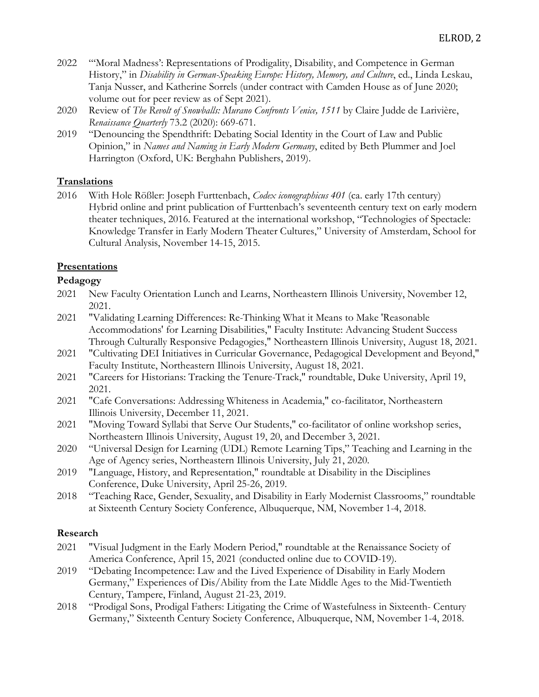- 2022 "'Moral Madness': Representations of Prodigality, Disability, and Competence in German History," in *Disability in German-Speaking Europe: History, Memory, and Culture*, ed., Linda Leskau, Tanja Nusser, and Katherine Sorrels (under contract with Camden House as of June 2020; volume out for peer review as of Sept 2021).
- 2020 Review of *The Revolt of Snowballs: Murano Confronts Venice, 1511* by Claire Judde de Larivière, *Renaissance Quarterly* 73.2 (2020): 669-671.
- 2019 "Denouncing the Spendthrift: Debating Social Identity in the Court of Law and Public Opinion," in *Names and Naming in Early Modern Germany*, edited by Beth Plummer and Joel Harrington (Oxford, UK: Berghahn Publishers, 2019).

### **Translations**

2016 With Hole Rößler: Joseph Furttenbach, *Codex iconographicus 401* (ca. early 17th century) Hybrid online and print publication of Furttenbach's seventeenth century text on early modern theater techniques, 2016. Featured at the international workshop, "Technologies of Spectacle: Knowledge Transfer in Early Modern Theater Cultures," University of Amsterdam, School for Cultural Analysis, November 14-15, 2015.

## **Presentations**

## **Pedagogy**

- 2021 New Faculty Orientation Lunch and Learns, Northeastern Illinois University, November 12, 2021.
- 2021 "Validating Learning Differences: Re-Thinking What it Means to Make 'Reasonable Accommodations' for Learning Disabilities," Faculty Institute: Advancing Student Success Through Culturally Responsive Pedagogies," Northeastern Illinois University, August 18, 2021.
- 2021 "Cultivating DEI Initiatives in Curricular Governance, Pedagogical Development and Beyond," Faculty Institute, Northeastern Illinois University, August 18, 2021.
- 2021 "Careers for Historians: Tracking the Tenure-Track," roundtable, Duke University, April 19, 2021.
- 2021 "Cafe Conversations: Addressing Whiteness in Academia," co-facilitator, Northeastern Illinois University, December 11, 2021.
- 2021 "Moving Toward Syllabi that Serve Our Students," co-facilitator of online workshop series, Northeastern Illinois University, August 19, 20, and December 3, 2021.
- 2020 "Universal Design for Learning (UDL) Remote Learning Tips," Teaching and Learning in the Age of Agency series, Northeastern Illinois University, July 21, 2020.
- 2019 "Language, History, and Representation," roundtable at Disability in the Disciplines Conference, Duke University, April 25-26, 2019.
- 2018 "Teaching Race, Gender, Sexuality, and Disability in Early Modernist Classrooms," roundtable at Sixteenth Century Society Conference, Albuquerque, NM, November 1-4, 2018.

### **Research**

- 2021 "Visual Judgment in the Early Modern Period," roundtable at the Renaissance Society of America Conference, April 15, 2021 (conducted online due to COVID-19).
- 2019 "Debating Incompetence: Law and the Lived Experience of Disability in Early Modern Germany," Experiences of Dis/Ability from the Late Middle Ages to the Mid-Twentieth Century, Tampere, Finland, August 21-23, 2019.
- 2018 "Prodigal Sons, Prodigal Fathers: Litigating the Crime of Wastefulness in Sixteenth- Century Germany," Sixteenth Century Society Conference, Albuquerque, NM, November 1-4, 2018.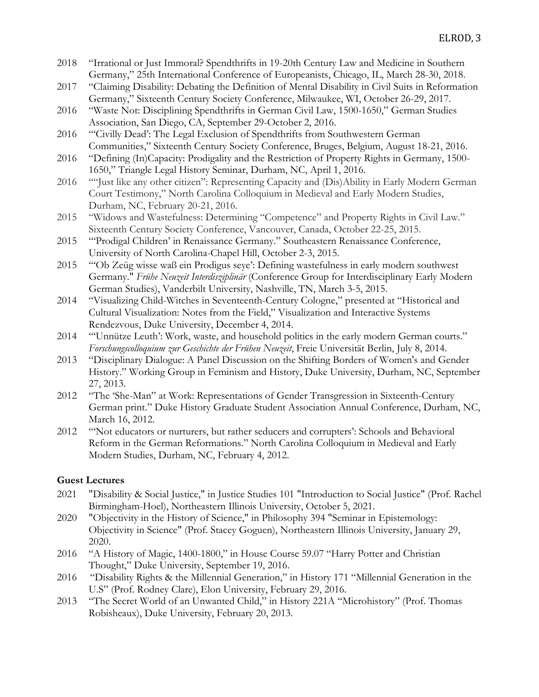- 2018 "Irrational or Just Immoral? Spendthrifts in 19-20th Century Law and Medicine in Southern Germany," 25th International Conference of Europeanists, Chicago, IL, March 28-30, 2018.
- 2017 "Claiming Disability: Debating the Definition of Mental Disability in Civil Suits in Reformation Germany," Sixteenth Century Society Conference, Milwaukee, WI, October 26-29, 2017.
- 2016 "Waste Not: Disciplining Spendthrifts in German Civil Law, 1500-1650," German Studies Association, San Diego, CA, September 29-October 2, 2016.
- 2016 "'Civilly Dead': The Legal Exclusion of Spendthrifts from Southwestern German Communities," Sixteenth Century Society Conference, Bruges, Belgium, August 18-21, 2016.
- 2016 "Defining (In)Capacity: Prodigality and the Restriction of Property Rights in Germany, 1500- 1650," Triangle Legal History Seminar, Durham, NC, April 1, 2016.
- 2016 ""Just like any other citizen": Representing Capacity and (Dis)Ability in Early Modern German Court Testimony," North Carolina Colloquium in Medieval and Early Modern Studies, Durham, NC, February 20-21, 2016.
- 2015 "Widows and Wastefulness: Determining "Competence" and Property Rights in Civil Law." Sixteenth Century Society Conference, Vancouver, Canada, October 22-25, 2015.
- 2015 "'Prodigal Children' in Renaissance Germany." Southeastern Renaissance Conference, University of North Carolina-Chapel Hill, October 2-3, 2015.
- 2015 "'Ob Zeüg wisse waß ein Prodigus seye': Defining wastefulness in early modern southwest Germany." *Frühe Neuzeit Interdisziplinär* (Conference Group for Interdisciplinary Early Modern German Studies), Vanderbilt University, Nashville, TN, March 3-5, 2015.
- 2014 "Visualizing Child-Witches in Seventeenth-Century Cologne," presented at "Historical and Cultural Visualization: Notes from the Field," Visualization and Interactive Systems Rendezvous, Duke University, December 4, 2014.
- 2014 "'Unnütze Leuth': Work, waste, and household politics in the early modern German courts." *Forschungscolloquium zur Geschichte der Frühen Neuzeit*, Freie Universität Berlin, July 8, 2014.
- 2013 "Disciplinary Dialogue: A Panel Discussion on the Shifting Borders of Women's and Gender History." Working Group in Feminism and History, Duke University, Durham, NC, September 27, 2013.
- 2012 "The 'She-Man" at Work: Representations of Gender Transgression in Sixteenth-Century German print." Duke History Graduate Student Association Annual Conference, Durham, NC, March 16, 2012.
- 2012 "'Not educators or nurturers, but rather seducers and corrupters': Schools and Behavioral Reform in the German Reformations." North Carolina Colloquium in Medieval and Early Modern Studies, Durham, NC, February 4, 2012.

#### **Guest Lectures**

- 2021 "Disability & Social Justice," in Justice Studies 101 "Introduction to Social Justice" (Prof. Rachel Birmingham-Hoel), Northeastern Illinois University, October 5, 2021.
- 2020 "Objectivity in the History of Science," in Philosophy 394 "Seminar in Epistemology: Objectivity in Science" (Prof. Stacey Goguen), Northeastern Illinois University, January 29, 2020.
- 2016 "A History of Magic, 1400-1800," in House Course 59.07 "Harry Potter and Christian Thought," Duke University, September 19, 2016.
- 2016 "Disability Rights & the Millennial Generation," in History 171 "Millennial Generation in the U.S" (Prof. Rodney Clare), Elon University, February 29, 2016.
- 2013 "The Secret World of an Unwanted Child," in History 221A "Microhistory" (Prof. Thomas Robisheaux), Duke University, February 20, 2013.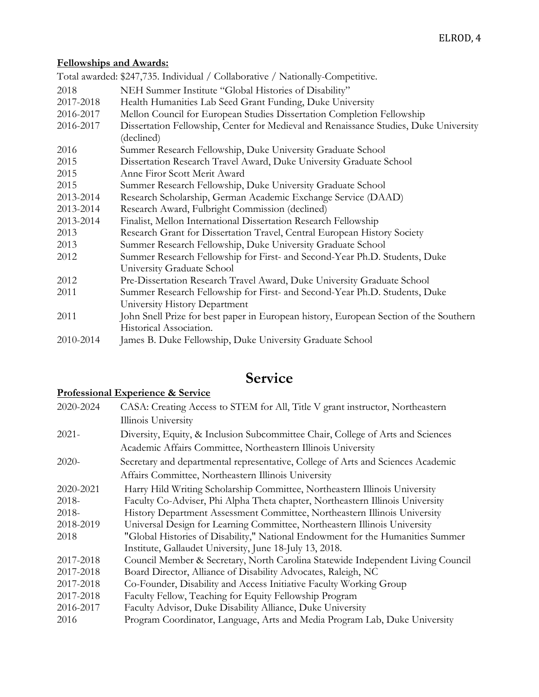## **Fellowships and Awards:**

|           | Total awarded: \$247,735. Individual / Collaborative / Nationally-Competitive.                           |
|-----------|----------------------------------------------------------------------------------------------------------|
| 2018      | NEH Summer Institute "Global Histories of Disability"                                                    |
| 2017-2018 | Health Humanities Lab Seed Grant Funding, Duke University                                                |
| 2016-2017 | Mellon Council for European Studies Dissertation Completion Fellowship                                   |
| 2016-2017 | Dissertation Fellowship, Center for Medieval and Renaissance Studies, Duke University<br>(declined)      |
| 2016      | Summer Research Fellowship, Duke University Graduate School                                              |
| 2015      | Dissertation Research Travel Award, Duke University Graduate School                                      |
| 2015      | Anne Firor Scott Merit Award                                                                             |
| 2015      | Summer Research Fellowship, Duke University Graduate School                                              |
| 2013-2014 | Research Scholarship, German Academic Exchange Service (DAAD)                                            |
| 2013-2014 | Research Award, Fulbright Commission (declined)                                                          |
| 2013-2014 | Finalist, Mellon International Dissertation Research Fellowship                                          |
| 2013      | Research Grant for Dissertation Travel, Central European History Society                                 |
| 2013      | Summer Research Fellowship, Duke University Graduate School                                              |
| 2012      | Summer Research Fellowship for First- and Second-Year Ph.D. Students, Duke<br>University Graduate School |
| 2012      | Pre-Dissertation Research Travel Award, Duke University Graduate School                                  |
| 2011      | Summer Research Fellowship for First- and Second-Year Ph.D. Students, Duke                               |
|           | University History Department                                                                            |
| 2011      | John Snell Prize for best paper in European history, European Section of the Southern                    |
|           | Historical Association.                                                                                  |
| 2010-2014 | James B. Duke Fellowship, Duke University Graduate School                                                |

## **Service**

## **Professional Experience & Service**

| Illinois University<br>$2021 -$<br>Diversity, Equity, & Inclusion Subcommittee Chair, College of Arts and Sciences<br>Academic Affairs Committee, Northeastern Illinois University<br>Secretary and departmental representative, College of Arts and Sciences Academic<br>$2020-$ |  |
|-----------------------------------------------------------------------------------------------------------------------------------------------------------------------------------------------------------------------------------------------------------------------------------|--|
|                                                                                                                                                                                                                                                                                   |  |
|                                                                                                                                                                                                                                                                                   |  |
|                                                                                                                                                                                                                                                                                   |  |
|                                                                                                                                                                                                                                                                                   |  |
| Affairs Committee, Northeastern Illinois University                                                                                                                                                                                                                               |  |
| 2020-2021<br>Harry Hild Writing Scholarship Committee, Northeastern Illinois University                                                                                                                                                                                           |  |
| 2018-<br>Faculty Co-Adviser, Phi Alpha Theta chapter, Northeastern Illinois University                                                                                                                                                                                            |  |
| 2018-<br>History Department Assessment Committee, Northeastern Illinois University                                                                                                                                                                                                |  |
| 2018-2019<br>Universal Design for Learning Committee, Northeastern Illinois University                                                                                                                                                                                            |  |
| 2018<br>"Global Histories of Disability," National Endowment for the Humanities Summer                                                                                                                                                                                            |  |
| Institute, Gallaudet University, June 18-July 13, 2018.                                                                                                                                                                                                                           |  |
| Council Member & Secretary, North Carolina Statewide Independent Living Council<br>2017-2018                                                                                                                                                                                      |  |
| Board Director, Alliance of Disability Advocates, Raleigh, NC<br>2017-2018                                                                                                                                                                                                        |  |
| Co-Founder, Disability and Access Initiative Faculty Working Group<br>2017-2018                                                                                                                                                                                                   |  |
| Faculty Fellow, Teaching for Equity Fellowship Program<br>2017-2018                                                                                                                                                                                                               |  |
| Faculty Advisor, Duke Disability Alliance, Duke University<br>2016-2017                                                                                                                                                                                                           |  |
| 2016<br>Program Coordinator, Language, Arts and Media Program Lab, Duke University                                                                                                                                                                                                |  |